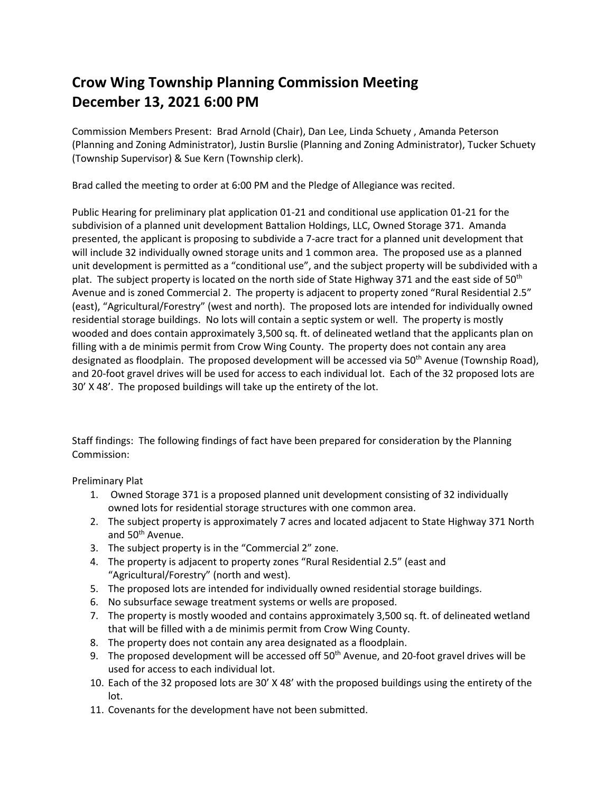## **Crow Wing Township Planning Commission Meeting December 13, 2021 6:00 PM**

Commission Members Present: Brad Arnold (Chair), Dan Lee, Linda Schuety , Amanda Peterson (Planning and Zoning Administrator), Justin Burslie (Planning and Zoning Administrator), Tucker Schuety (Township Supervisor) & Sue Kern (Township clerk).

Brad called the meeting to order at 6:00 PM and the Pledge of Allegiance was recited.

Public Hearing for preliminary plat application 01-21 and conditional use application 01-21 for the subdivision of a planned unit development Battalion Holdings, LLC, Owned Storage 371. Amanda presented, the applicant is proposing to subdivide a 7-acre tract for a planned unit development that will include 32 individually owned storage units and 1 common area. The proposed use as a planned unit development is permitted as a "conditional use", and the subject property will be subdivided with a plat. The subject property is located on the north side of State Highway 371 and the east side of 50<sup>th</sup> Avenue and is zoned Commercial 2. The property is adjacent to property zoned "Rural Residential 2.5" (east), "Agricultural/Forestry" (west and north). The proposed lots are intended for individually owned residential storage buildings. No lots will contain a septic system or well. The property is mostly wooded and does contain approximately 3,500 sq. ft. of delineated wetland that the applicants plan on filling with a de minimis permit from Crow Wing County. The property does not contain any area designated as floodplain. The proposed development will be accessed via 50<sup>th</sup> Avenue (Township Road), and 20-foot gravel drives will be used for access to each individual lot. Each of the 32 proposed lots are 30' X 48'. The proposed buildings will take up the entirety of the lot.

Staff findings: The following findings of fact have been prepared for consideration by the Planning Commission:

Preliminary Plat

- 1. Owned Storage 371 is a proposed planned unit development consisting of 32 individually owned lots for residential storage structures with one common area.
- 2. The subject property is approximately 7 acres and located adjacent to State Highway 371 North and 50<sup>th</sup> Avenue.
- 3. The subject property is in the "Commercial 2" zone.
- 4. The property is adjacent to property zones "Rural Residential 2.5" (east and "Agricultural/Forestry" (north and west).
- 5. The proposed lots are intended for individually owned residential storage buildings.
- 6. No subsurface sewage treatment systems or wells are proposed.
- 7. The property is mostly wooded and contains approximately 3,500 sq. ft. of delineated wetland that will be filled with a de minimis permit from Crow Wing County.
- 8. The property does not contain any area designated as a floodplain.
- 9. The proposed development will be accessed off 50<sup>th</sup> Avenue, and 20-foot gravel drives will be used for access to each individual lot.
- 10. Each of the 32 proposed lots are 30' X 48' with the proposed buildings using the entirety of the lot.
- 11. Covenants for the development have not been submitted.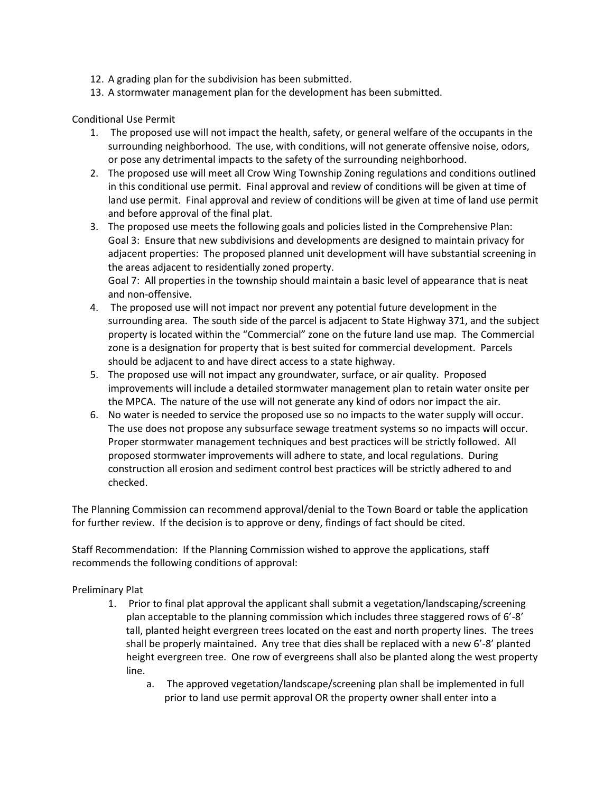- 12. A grading plan for the subdivision has been submitted.
- 13. A stormwater management plan for the development has been submitted.

## Conditional Use Permit

- 1. The proposed use will not impact the health, safety, or general welfare of the occupants in the surrounding neighborhood. The use, with conditions, will not generate offensive noise, odors, or pose any detrimental impacts to the safety of the surrounding neighborhood.
- 2. The proposed use will meet all Crow Wing Township Zoning regulations and conditions outlined in this conditional use permit. Final approval and review of conditions will be given at time of land use permit. Final approval and review of conditions will be given at time of land use permit and before approval of the final plat.
- 3. The proposed use meets the following goals and policies listed in the Comprehensive Plan: Goal 3: Ensure that new subdivisions and developments are designed to maintain privacy for adjacent properties: The proposed planned unit development will have substantial screening in the areas adjacent to residentially zoned property. Goal 7: All properties in the township should maintain a basic level of appearance that is neat and non-offensive.
- 4. The proposed use will not impact nor prevent any potential future development in the surrounding area. The south side of the parcel is adjacent to State Highway 371, and the subject property is located within the "Commercial" zone on the future land use map. The Commercial zone is a designation for property that is best suited for commercial development. Parcels should be adjacent to and have direct access to a state highway.
- 5. The proposed use will not impact any groundwater, surface, or air quality. Proposed improvements will include a detailed stormwater management plan to retain water onsite per the MPCA. The nature of the use will not generate any kind of odors nor impact the air.
- 6. No water is needed to service the proposed use so no impacts to the water supply will occur. The use does not propose any subsurface sewage treatment systems so no impacts will occur. Proper stormwater management techniques and best practices will be strictly followed. All proposed stormwater improvements will adhere to state, and local regulations. During construction all erosion and sediment control best practices will be strictly adhered to and checked.

The Planning Commission can recommend approval/denial to the Town Board or table the application for further review. If the decision is to approve or deny, findings of fact should be cited.

Staff Recommendation: If the Planning Commission wished to approve the applications, staff recommends the following conditions of approval:

## Preliminary Plat

- 1. Prior to final plat approval the applicant shall submit a vegetation/landscaping/screening plan acceptable to the planning commission which includes three staggered rows of 6'-8' tall, planted height evergreen trees located on the east and north property lines. The trees shall be properly maintained. Any tree that dies shall be replaced with a new 6'-8' planted height evergreen tree. One row of evergreens shall also be planted along the west property line.
	- a. The approved vegetation/landscape/screening plan shall be implemented in full prior to land use permit approval OR the property owner shall enter into a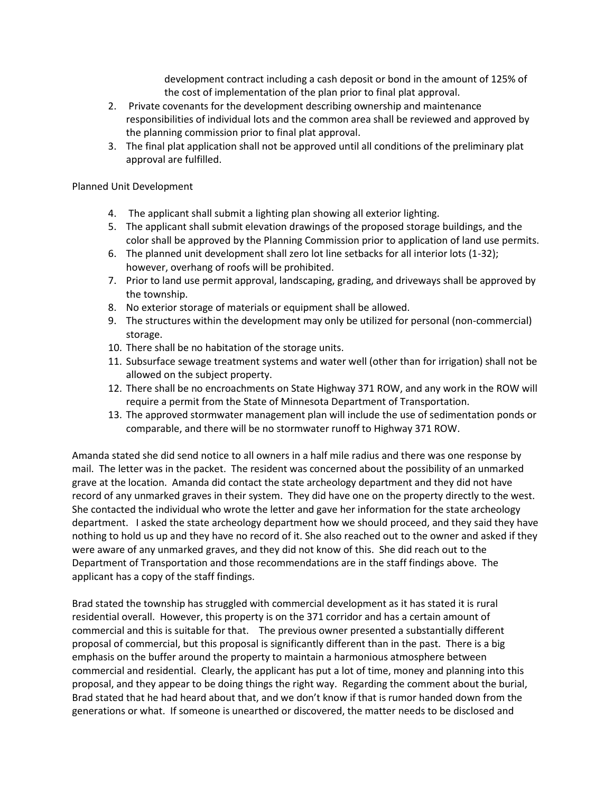development contract including a cash deposit or bond in the amount of 125% of the cost of implementation of the plan prior to final plat approval.

- 2. Private covenants for the development describing ownership and maintenance responsibilities of individual lots and the common area shall be reviewed and approved by the planning commission prior to final plat approval.
- 3. The final plat application shall not be approved until all conditions of the preliminary plat approval are fulfilled.

## Planned Unit Development

- 4. The applicant shall submit a lighting plan showing all exterior lighting.
- 5. The applicant shall submit elevation drawings of the proposed storage buildings, and the color shall be approved by the Planning Commission prior to application of land use permits.
- 6. The planned unit development shall zero lot line setbacks for all interior lots (1-32); however, overhang of roofs will be prohibited.
- 7. Prior to land use permit approval, landscaping, grading, and driveways shall be approved by the township.
- 8. No exterior storage of materials or equipment shall be allowed.
- 9. The structures within the development may only be utilized for personal (non-commercial) storage.
- 10. There shall be no habitation of the storage units.
- 11. Subsurface sewage treatment systems and water well (other than for irrigation) shall not be allowed on the subject property.
- 12. There shall be no encroachments on State Highway 371 ROW, and any work in the ROW will require a permit from the State of Minnesota Department of Transportation.
- 13. The approved stormwater management plan will include the use of sedimentation ponds or comparable, and there will be no stormwater runoff to Highway 371 ROW.

Amanda stated she did send notice to all owners in a half mile radius and there was one response by mail. The letter was in the packet. The resident was concerned about the possibility of an unmarked grave at the location. Amanda did contact the state archeology department and they did not have record of any unmarked graves in their system. They did have one on the property directly to the west. She contacted the individual who wrote the letter and gave her information for the state archeology department. I asked the state archeology department how we should proceed, and they said they have nothing to hold us up and they have no record of it. She also reached out to the owner and asked if they were aware of any unmarked graves, and they did not know of this. She did reach out to the Department of Transportation and those recommendations are in the staff findings above. The applicant has a copy of the staff findings.

Brad stated the township has struggled with commercial development as it has stated it is rural residential overall. However, this property is on the 371 corridor and has a certain amount of commercial and this is suitable for that. The previous owner presented a substantially different proposal of commercial, but this proposal is significantly different than in the past. There is a big emphasis on the buffer around the property to maintain a harmonious atmosphere between commercial and residential. Clearly, the applicant has put a lot of time, money and planning into this proposal, and they appear to be doing things the right way. Regarding the comment about the burial, Brad stated that he had heard about that, and we don't know if that is rumor handed down from the generations or what. If someone is unearthed or discovered, the matter needs to be disclosed and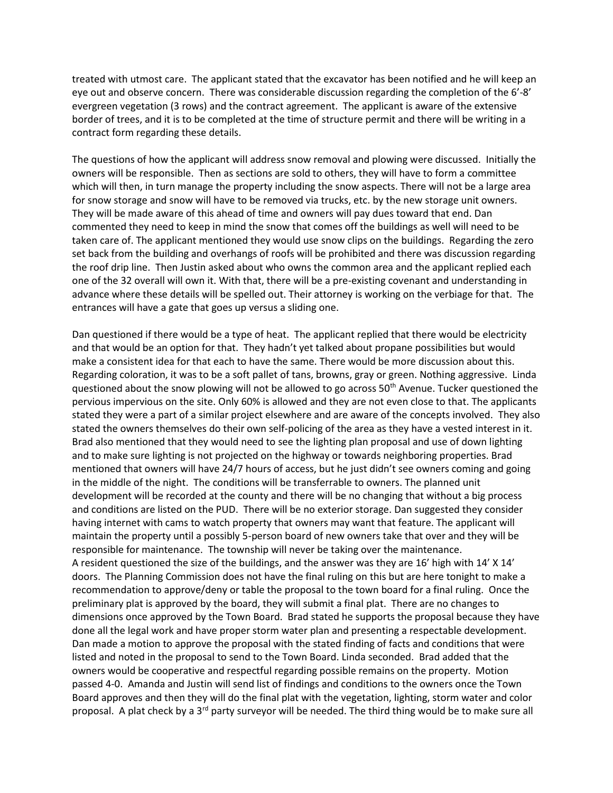treated with utmost care. The applicant stated that the excavator has been notified and he will keep an eye out and observe concern. There was considerable discussion regarding the completion of the 6'-8' evergreen vegetation (3 rows) and the contract agreement. The applicant is aware of the extensive border of trees, and it is to be completed at the time of structure permit and there will be writing in a contract form regarding these details.

The questions of how the applicant will address snow removal and plowing were discussed. Initially the owners will be responsible. Then as sections are sold to others, they will have to form a committee which will then, in turn manage the property including the snow aspects. There will not be a large area for snow storage and snow will have to be removed via trucks, etc. by the new storage unit owners. They will be made aware of this ahead of time and owners will pay dues toward that end. Dan commented they need to keep in mind the snow that comes off the buildings as well will need to be taken care of. The applicant mentioned they would use snow clips on the buildings. Regarding the zero set back from the building and overhangs of roofs will be prohibited and there was discussion regarding the roof drip line. Then Justin asked about who owns the common area and the applicant replied each one of the 32 overall will own it. With that, there will be a pre-existing covenant and understanding in advance where these details will be spelled out. Their attorney is working on the verbiage for that. The entrances will have a gate that goes up versus a sliding one.

Dan questioned if there would be a type of heat. The applicant replied that there would be electricity and that would be an option for that. They hadn't yet talked about propane possibilities but would make a consistent idea for that each to have the same. There would be more discussion about this. Regarding coloration, it was to be a soft pallet of tans, browns, gray or green. Nothing aggressive. Linda questioned about the snow plowing will not be allowed to go across  $50<sup>th</sup>$  Avenue. Tucker questioned the pervious impervious on the site. Only 60% is allowed and they are not even close to that. The applicants stated they were a part of a similar project elsewhere and are aware of the concepts involved. They also stated the owners themselves do their own self-policing of the area as they have a vested interest in it. Brad also mentioned that they would need to see the lighting plan proposal and use of down lighting and to make sure lighting is not projected on the highway or towards neighboring properties. Brad mentioned that owners will have 24/7 hours of access, but he just didn't see owners coming and going in the middle of the night. The conditions will be transferrable to owners. The planned unit development will be recorded at the county and there will be no changing that without a big process and conditions are listed on the PUD. There will be no exterior storage. Dan suggested they consider having internet with cams to watch property that owners may want that feature. The applicant will maintain the property until a possibly 5-person board of new owners take that over and they will be responsible for maintenance. The township will never be taking over the maintenance. A resident questioned the size of the buildings, and the answer was they are 16' high with 14' X 14' doors. The Planning Commission does not have the final ruling on this but are here tonight to make a recommendation to approve/deny or table the proposal to the town board for a final ruling. Once the preliminary plat is approved by the board, they will submit a final plat. There are no changes to dimensions once approved by the Town Board. Brad stated he supports the proposal because they have done all the legal work and have proper storm water plan and presenting a respectable development. Dan made a motion to approve the proposal with the stated finding of facts and conditions that were listed and noted in the proposal to send to the Town Board. Linda seconded. Brad added that the owners would be cooperative and respectful regarding possible remains on the property. Motion passed 4-0. Amanda and Justin will send list of findings and conditions to the owners once the Town Board approves and then they will do the final plat with the vegetation, lighting, storm water and color proposal. A plat check by a  $3<sup>rd</sup>$  party surveyor will be needed. The third thing would be to make sure all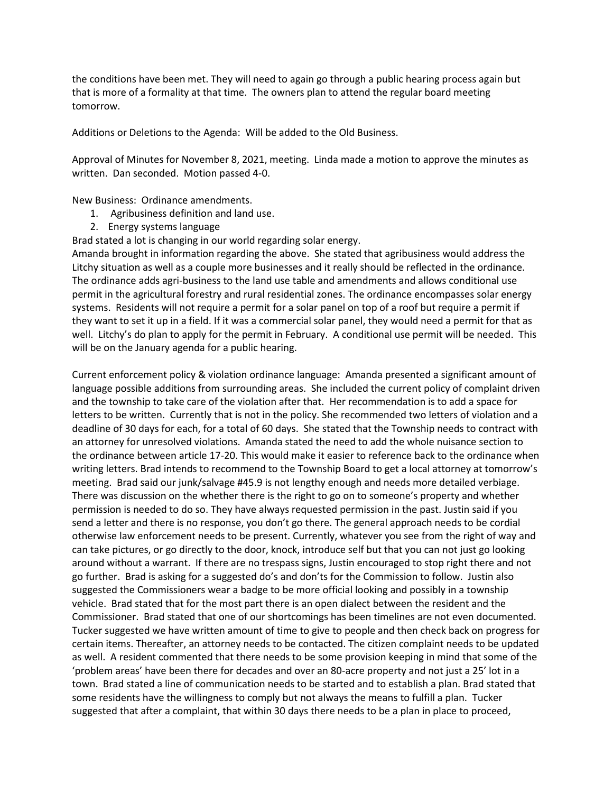the conditions have been met. They will need to again go through a public hearing process again but that is more of a formality at that time. The owners plan to attend the regular board meeting tomorrow.

Additions or Deletions to the Agenda: Will be added to the Old Business.

Approval of Minutes for November 8, 2021, meeting. Linda made a motion to approve the minutes as written. Dan seconded. Motion passed 4-0.

New Business: Ordinance amendments.

- 1. Agribusiness definition and land use.
- 2. Energy systems language

Brad stated a lot is changing in our world regarding solar energy.

Amanda brought in information regarding the above. She stated that agribusiness would address the Litchy situation as well as a couple more businesses and it really should be reflected in the ordinance. The ordinance adds agri-business to the land use table and amendments and allows conditional use permit in the agricultural forestry and rural residential zones. The ordinance encompasses solar energy systems. Residents will not require a permit for a solar panel on top of a roof but require a permit if they want to set it up in a field. If it was a commercial solar panel, they would need a permit for that as well. Litchy's do plan to apply for the permit in February. A conditional use permit will be needed. This will be on the January agenda for a public hearing.

Current enforcement policy & violation ordinance language: Amanda presented a significant amount of language possible additions from surrounding areas. She included the current policy of complaint driven and the township to take care of the violation after that. Her recommendation is to add a space for letters to be written. Currently that is not in the policy. She recommended two letters of violation and a deadline of 30 days for each, for a total of 60 days. She stated that the Township needs to contract with an attorney for unresolved violations. Amanda stated the need to add the whole nuisance section to the ordinance between article 17-20. This would make it easier to reference back to the ordinance when writing letters. Brad intends to recommend to the Township Board to get a local attorney at tomorrow's meeting. Brad said our junk/salvage #45.9 is not lengthy enough and needs more detailed verbiage. There was discussion on the whether there is the right to go on to someone's property and whether permission is needed to do so. They have always requested permission in the past. Justin said if you send a letter and there is no response, you don't go there. The general approach needs to be cordial otherwise law enforcement needs to be present. Currently, whatever you see from the right of way and can take pictures, or go directly to the door, knock, introduce self but that you can not just go looking around without a warrant. If there are no trespass signs, Justin encouraged to stop right there and not go further. Brad is asking for a suggested do's and don'ts for the Commission to follow. Justin also suggested the Commissioners wear a badge to be more official looking and possibly in a township vehicle. Brad stated that for the most part there is an open dialect between the resident and the Commissioner. Brad stated that one of our shortcomings has been timelines are not even documented. Tucker suggested we have written amount of time to give to people and then check back on progress for certain items. Thereafter, an attorney needs to be contacted. The citizen complaint needs to be updated as well. A resident commented that there needs to be some provision keeping in mind that some of the 'problem areas' have been there for decades and over an 80-acre property and not just a 25' lot in a town. Brad stated a line of communication needs to be started and to establish a plan. Brad stated that some residents have the willingness to comply but not always the means to fulfill a plan. Tucker suggested that after a complaint, that within 30 days there needs to be a plan in place to proceed,